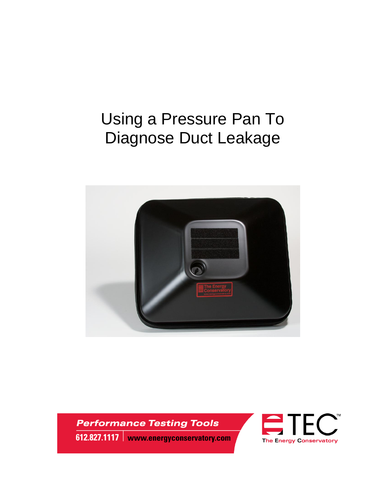# Using a Pressure Pan To Diagnose Duct Leakage



**Performance Testing Tools** 612.827.1117 | www.energyconservatory.com

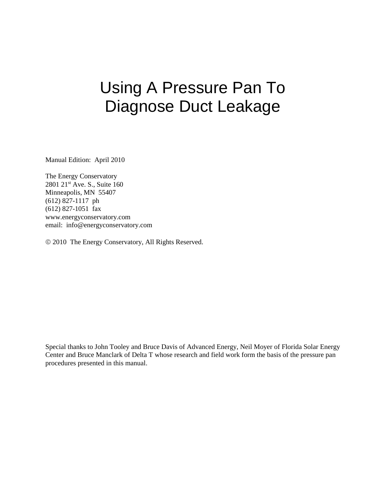# Using A Pressure Pan To Diagnose Duct Leakage

Manual Edition: April 2010

The Energy Conservatory 2801 21<sup>st</sup> Ave. S., Suite 160 Minneapolis, MN 55407 (612) 827-1117 ph (612) 827-1051 fax www.energyconservatory.com email: info@energyconservatory.com

2010 The Energy Conservatory, All Rights Reserved.

Special thanks to John Tooley and Bruce Davis of Advanced Energy, Neil Moyer of Florida Solar Energy Center and Bruce Manclark of Delta T whose research and field work form the basis of the pressure pan procedures presented in this manual.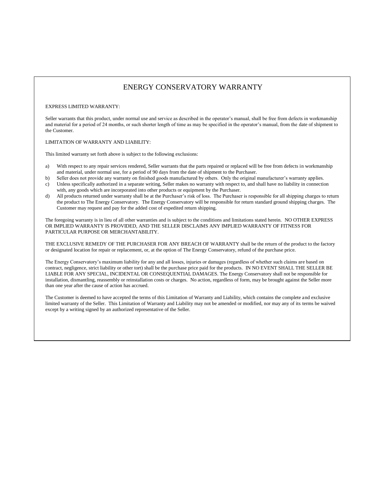#### ENERGY CONSERVATORY WARRANTY

#### EXPRESS LIMITED WARRANTY:

Seller warrants that this product, under normal use and service as described in the operator's manual, shall be free from defects in workmanship and material for a period of 24 months, or such shorter length of time as may be specified in the operator's manual, from the date of shipment to the Customer.

#### LIMITATION OF WARRANTY AND LIABILITY:

This limited warranty set forth above is subject to the following exclusions:

- a) With respect to any repair services rendered, Seller warrants that the parts repaired or replaced will be free from defects in workmanship and material, under normal use, for a period of 90 days from the date of shipment to the Purchaser.
- b) Seller does not provide any warranty on finished goods manufactured by others. Only the original manufacturer's warranty applies.
- c) Unless specifically authorized in a separate writing, Seller makes no warranty with respect to, and shall have no liability in connection with, any goods which are incorporated into other products or equipment by the Purchaser.
- All products returned under warranty shall be at the Purchaser's risk of loss. The Purchaser is responsible for all shipping charges to return the product to The Energy Conservatory. The Energy Conservatory will be responsible for return standard ground shipping charges. The Customer may request and pay for the added cost of expedited return shipping.

The foregoing warranty is in lieu of all other warranties and is subject to the conditions and limitations stated herein. NO OTHER EXPRESS OR IMPLIED WARRANTY IS PROVIDED, AND THE SELLER DISCLAIMS ANY IMPLIED WARRANTY OF FITNESS FOR PARTICULAR PURPOSE OR MERCHANTABILITY.

THE EXCLUSIVE REMEDY OF THE PURCHASER FOR ANY BREACH OF WARRANTY shall be the return of the product to the factory or designated location for repair or replacement, or, at the option of The Energy Conservatory, refund of the purchase price.

The Energy Conservatory's maximum liability for any and all losses, injuries or damages (regardless of whether such claims are based on contract, negligence, strict liability or other tort) shall be the purchase price paid for the products. IN NO EVENT SHALL THE SELLER BE LIABLE FOR ANY SPECIAL, INCIDENTAL OR CONSEQUENTIAL DAMAGES. The Energy Conservatory shall not be responsible for installation, dismantling, reassembly or reinstallation costs or charges. No action, regardless of form, may be brought against the Seller more than one year after the cause of action has accrued.

The Customer is deemed to have accepted the terms of this Limitation of Warranty and Liability, which contains the complete and exclusive limited warranty of the Seller. This Limitation of Warranty and Liability may not be amended or modified, nor may any of its terms be waived except by a writing signed by an authorized representative of the Seller.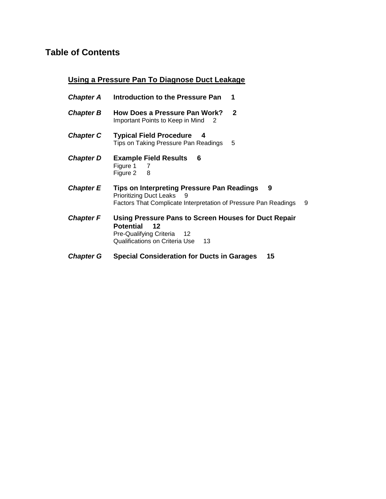## **Table of Contents**

### **Using a Pressure Pan To Diagnose Duct Leakage**

| Chapter A        | Introduction to the Pressure Pan<br>1                                                                                                                                   |
|------------------|-------------------------------------------------------------------------------------------------------------------------------------------------------------------------|
| <b>Chapter B</b> | <b>How Does a Pressure Pan Work?</b><br>$\mathbf{2}$<br>Important Points to Keep in Mind 2                                                                              |
| <b>Chapter C</b> | <b>Typical Field Procedure</b><br>-4<br>Tips on Taking Pressure Pan Readings<br>5                                                                                       |
| <b>Chapter D</b> | <b>Example Field Results</b><br>6<br>Figure 1 7<br>Figure 2 8                                                                                                           |
| <b>Chapter E</b> | <b>Tips on Interpreting Pressure Pan Readings</b><br>9<br><b>Prioritizing Duct Leaks</b><br>- 9<br>Factors That Complicate Interpretation of Pressure Pan Readings<br>9 |
| <b>Chapter F</b> | Using Pressure Pans to Screen Houses for Duct Repair<br><b>Potential</b><br>12<br>Pre-Qualifying Criteria<br>$^{\circ}$ 12<br>Qualifications on Criteria Use<br>13      |
| <b>Chapter G</b> | <b>Special Consideration for Ducts in Garages</b><br>15                                                                                                                 |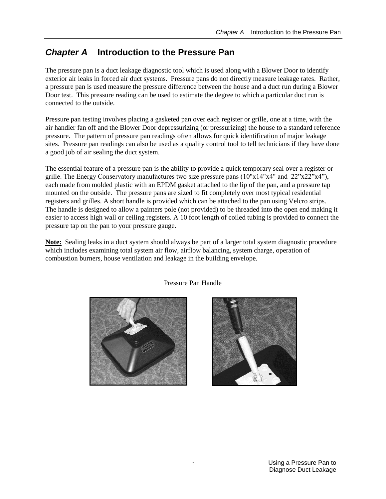## *Chapter A* **Introduction to the Pressure Pan**

The pressure pan is a duct leakage diagnostic tool which is used along with a Blower Door to identify exterior air leaks in forced air duct systems. Pressure pans do not directly measure leakage rates. Rather, a pressure pan is used measure the pressure difference between the house and a duct run during a Blower Door test. This pressure reading can be used to estimate the degree to which a particular duct run is connected to the outside.

Pressure pan testing involves placing a gasketed pan over each register or grille, one at a time, with the air handler fan off and the Blower Door depressurizing (or pressurizing) the house to a standard reference pressure. The pattern of pressure pan readings often allows for quick identification of major leakage sites. Pressure pan readings can also be used as a quality control tool to tell technicians if they have done a good job of air sealing the duct system.

The essential feature of a pressure pan is the ability to provide a quick temporary seal over a register or grille. The Energy Conservatory manufactures two size pressure pans  $(10"x14"x4"$  and  $22"x22"x4"$ , each made from molded plastic with an EPDM gasket attached to the lip of the pan, and a pressure tap mounted on the outside. The pressure pans are sized to fit completely over most typical residential registers and grilles. A short handle is provided which can be attached to the pan using Velcro strips. The handle is designed to allow a painters pole (not provided) to be threaded into the open end making it easier to access high wall or ceiling registers. A 10 foot length of coiled tubing is provided to connect the pressure tap on the pan to your pressure gauge.

**Note:** Sealing leaks in a duct system should always be part of a larger total system diagnostic procedure which includes examining total system air flow, airflow balancing, system charge, operation of combustion burners, house ventilation and leakage in the building envelope.



Pressure Pan Handle

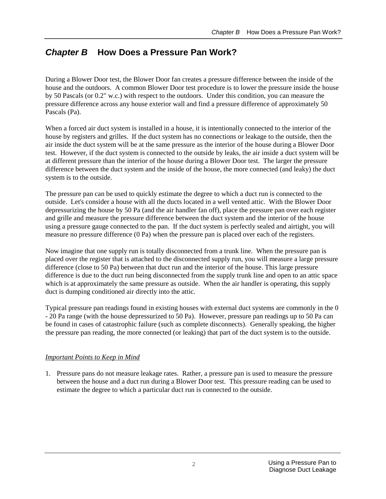## *Chapter B* **How Does a Pressure Pan Work?**

During a Blower Door test, the Blower Door fan creates a pressure difference between the inside of the house and the outdoors. A common Blower Door test procedure is to lower the pressure inside the house by 50 Pascals (or 0.2" w.c.) with respect to the outdoors. Under this condition, you can measure the pressure difference across any house exterior wall and find a pressure difference of approximately 50 Pascals (Pa).

When a forced air duct system is installed in a house, it is intentionally connected to the interior of the house by registers and grilles. If the duct system has no connections or leakage to the outside, then the air inside the duct system will be at the same pressure as the interior of the house during a Blower Door test. However, if the duct system is connected to the outside by leaks, the air inside a duct system will be at different pressure than the interior of the house during a Blower Door test. The larger the pressure difference between the duct system and the inside of the house, the more connected (and leaky) the duct system is to the outside.

The pressure pan can be used to quickly estimate the degree to which a duct run is connected to the outside. Let's consider a house with all the ducts located in a well vented attic. With the Blower Door depressurizing the house by 50 Pa (and the air handler fan off), place the pressure pan over each register and grille and measure the pressure difference between the duct system and the interior of the house using a pressure gauge connected to the pan. If the duct system is perfectly sealed and airtight, you will measure no pressure difference (0 Pa) when the pressure pan is placed over each of the registers.

Now imagine that one supply run is totally disconnected from a trunk line. When the pressure pan is placed over the register that is attached to the disconnected supply run, you will measure a large pressure difference (close to 50 Pa) between that duct run and the interior of the house. This large pressure difference is due to the duct run being disconnected from the supply trunk line and open to an attic space which is at approximately the same pressure as outside. When the air handler is operating, this supply duct is dumping conditioned air directly into the attic.

Typical pressure pan readings found in existing houses with external duct systems are commonly in the 0 - 20 Pa range (with the house depressurized to 50 Pa). However, pressure pan readings up to 50 Pa can be found in cases of catastrophic failure (such as complete disconnects). Generally speaking, the higher the pressure pan reading, the more connected (or leaking) that part of the duct system is to the outside.

#### *Important Points to Keep in Mind*

1. Pressure pans do not measure leakage rates. Rather, a pressure pan is used to measure the pressure between the house and a duct run during a Blower Door test. This pressure reading can be used to estimate the degree to which a particular duct run is connected to the outside.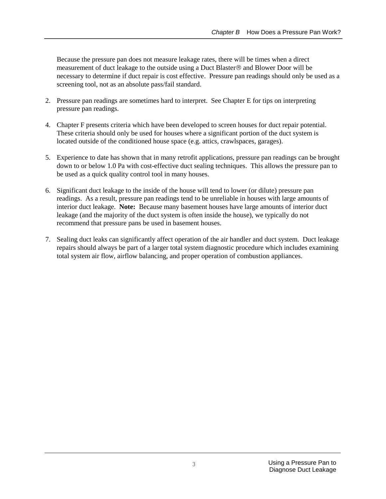Because the pressure pan does not measure leakage rates, there will be times when a direct measurement of duct leakage to the outside using a Duct Blaster® and Blower Door will be necessary to determine if duct repair is cost effective. Pressure pan readings should only be used as a screening tool, not as an absolute pass/fail standard.

- 2. Pressure pan readings are sometimes hard to interpret. See Chapter E for tips on interpreting pressure pan readings.
- 4. Chapter F presents criteria which have been developed to screen houses for duct repair potential. These criteria should only be used for houses where a significant portion of the duct system is located outside of the conditioned house space (e.g. attics, crawlspaces, garages).
- 5. Experience to date has shown that in many retrofit applications, pressure pan readings can be brought down to or below 1.0 Pa with cost-effective duct sealing techniques. This allows the pressure pan to be used as a quick quality control tool in many houses.
- 6. Significant duct leakage to the inside of the house will tend to lower (or dilute) pressure pan readings. As a result, pressure pan readings tend to be unreliable in houses with large amounts of interior duct leakage. **Note:** Because many basement houses have large amounts of interior duct leakage (and the majority of the duct system is often inside the house), we typically do not recommend that pressure pans be used in basement houses.
- 7. Sealing duct leaks can significantly affect operation of the air handler and duct system. Duct leakage repairs should always be part of a larger total system diagnostic procedure which includes examining total system air flow, airflow balancing, and proper operation of combustion appliances.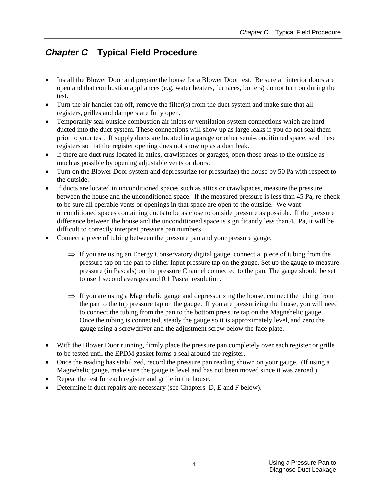## *Chapter C* **Typical Field Procedure**

- Install the Blower Door and prepare the house for a Blower Door test. Be sure all interior doors are open and that combustion appliances (e.g. water heaters, furnaces, boilers) do not turn on during the test.
- Turn the air handler fan off, remove the filter(s) from the duct system and make sure that all registers, grilles and dampers are fully open.
- Temporarily seal outside combustion air inlets or ventilation system connections which are hard ducted into the duct system. These connections will show up as large leaks if you do not seal them prior to your test. If supply ducts are located in a garage or other semi-conditioned space, seal these registers so that the register opening does not show up as a duct leak.
- If there are duct runs located in attics, crawlspaces or garages, open those areas to the outside as much as possible by opening adjustable vents or doors.
- Turn on the Blower Door system and depressurize (or pressurize) the house by 50 Pa with respect to the outside.
- If ducts are located in unconditioned spaces such as attics or crawlspaces, measure the pressure between the house and the unconditioned space. If the measured pressure is less than 45 Pa, re-check to be sure all operable vents or openings in that space are open to the outside. We want unconditioned spaces containing ducts to be as close to outside pressure as possible. If the pressure difference between the house and the unconditioned space is significantly less than 45 Pa, it will be difficult to correctly interpret pressure pan numbers.
- Connect a piece of tubing between the pressure pan and your pressure gauge.
	- $\Rightarrow$  If you are using an Energy Conservatory digital gauge, connect a piece of tubing from the pressure tap on the pan to either Input pressure tap on the gauge. Set up the gauge to measure pressure (in Pascals) on the pressure Channel connected to the pan. The gauge should be set to use 1 second averages and 0.1 Pascal resolution.
	- $\Rightarrow$  If you are using a Magnehelic gauge and depressurizing the house, connect the tubing from the pan to the top pressure tap on the gauge. If you are pressurizing the house, you will need to connect the tubing from the pan to the bottom pressure tap on the Magnehelic gauge. Once the tubing is connected, steady the gauge so it is approximately level, and zero the gauge using a screwdriver and the adjustment screw below the face plate.
- With the Blower Door running, firmly place the pressure pan completely over each register or grille to be tested until the EPDM gasket forms a seal around the register.
- Once the reading has stabilized, record the pressure pan reading shown on your gauge. (If using a Magnehelic gauge, make sure the gauge is level and has not been moved since it was zeroed.)
- Repeat the test for each register and grille in the house.
- Determine if duct repairs are necessary (see Chapters D, E and F below).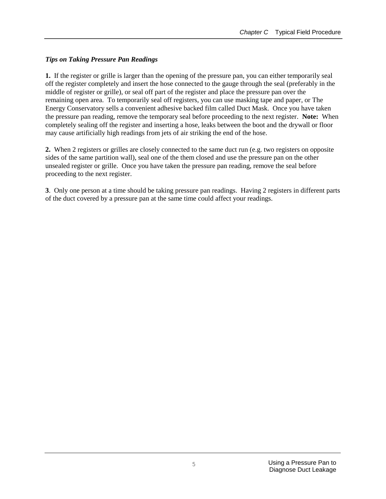### *Tips on Taking Pressure Pan Readings*

**1.** If the register or grille is larger than the opening of the pressure pan, you can either temporarily seal off the register completely and insert the hose connected to the gauge through the seal (preferably in the middle of register or grille), or seal off part of the register and place the pressure pan over the remaining open area. To temporarily seal off registers, you can use masking tape and paper, or The Energy Conservatory sells a convenient adhesive backed film called Duct Mask. Once you have taken the pressure pan reading, remove the temporary seal before proceeding to the next register. **Note:** When completely sealing off the register and inserting a hose, leaks between the boot and the drywall or floor may cause artificially high readings from jets of air striking the end of the hose.

**2.** When 2 registers or grilles are closely connected to the same duct run (e.g. two registers on opposite sides of the same partition wall), seal one of the them closed and use the pressure pan on the other unsealed register or grille. Once you have taken the pressure pan reading, remove the seal before proceeding to the next register.

**3**. Only one person at a time should be taking pressure pan readings. Having 2 registers in different parts of the duct covered by a pressure pan at the same time could affect your readings.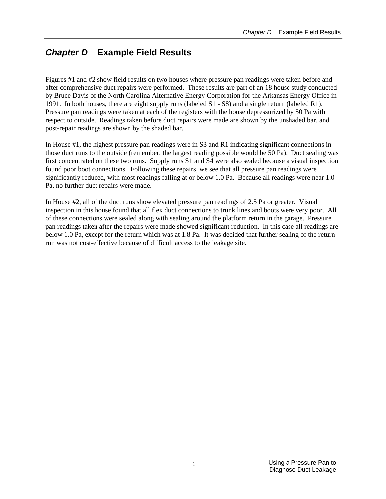## *Chapter D* **Example Field Results**

Figures #1 and #2 show field results on two houses where pressure pan readings were taken before and after comprehensive duct repairs were performed. These results are part of an 18 house study conducted by Bruce Davis of the North Carolina Alternative Energy Corporation for the Arkansas Energy Office in 1991. In both houses, there are eight supply runs (labeled S1 - S8) and a single return (labeled R1). Pressure pan readings were taken at each of the registers with the house depressurized by 50 Pa with respect to outside. Readings taken before duct repairs were made are shown by the unshaded bar, and post-repair readings are shown by the shaded bar.

In House #1, the highest pressure pan readings were in S3 and R1 indicating significant connections in those duct runs to the outside (remember, the largest reading possible would be 50 Pa). Duct sealing was first concentrated on these two runs. Supply runs S1 and S4 were also sealed because a visual inspection found poor boot connections. Following these repairs, we see that all pressure pan readings were significantly reduced, with most readings falling at or below 1.0 Pa. Because all readings were near 1.0 Pa, no further duct repairs were made.

In House #2, all of the duct runs show elevated pressure pan readings of 2.5 Pa or greater. Visual inspection in this house found that all flex duct connections to trunk lines and boots were very poor. All of these connections were sealed along with sealing around the platform return in the garage. Pressure pan readings taken after the repairs were made showed significant reduction. In this case all readings are below 1.0 Pa, except for the return which was at 1.8 Pa. It was decided that further sealing of the return run was not cost-effective because of difficult access to the leakage site.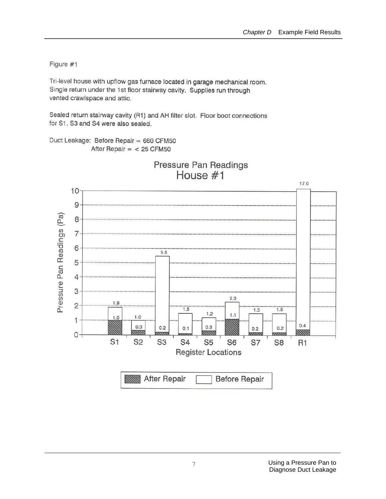Figure #1

Tri-level house with upflow gas furnace located in garage mechanical room. Single return under the 1st floor stairway cavity. Supplies run through vented crawlspace and attic.

Sealed return stairway cavity (R1) and AH filter slot. Floor boot connections for S1, S3 and S4 were also sealed.

Duct Leakage: Before Repair = 660 CFM50 After Repair  $=$  < 25 CFM50



Pressure Pan Readings House #1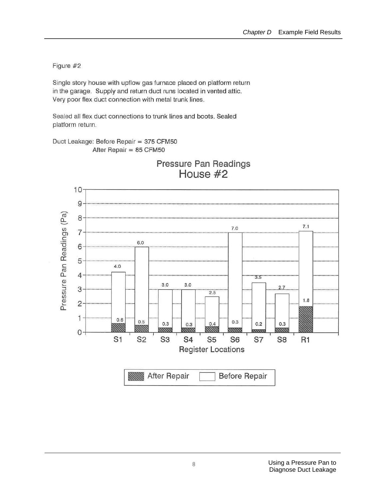Figure #2

Single story house with upflow gas furnace placed on platform return in the garage. Supply and return duct runs located in vented attic. Very poor flex duct connection with metal trunk lines.

Sealed all flex duct connections to trunk lines and boots. Sealed platform return.

Duct Leakage: Before Repair = 375 CFM50 After Repair = 85 CFM50



## Pressure Pan Readings House #2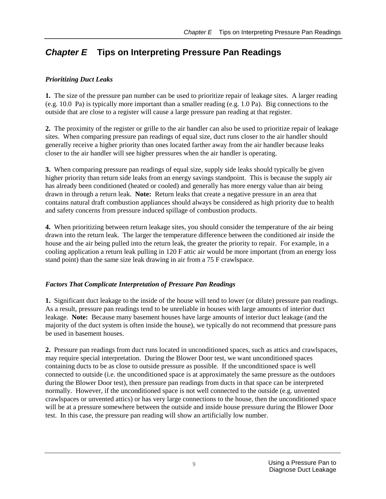## *Chapter E* **Tips on Interpreting Pressure Pan Readings**

#### *Prioritizing Duct Leaks*

**1.** The size of the pressure pan number can be used to prioritize repair of leakage sites. A larger reading (e.g. 10.0 Pa) is typically more important than a smaller reading (e.g. 1.0 Pa). Big connections to the outside that are close to a register will cause a large pressure pan reading at that register.

**2.** The proximity of the register or grille to the air handler can also be used to prioritize repair of leakage sites. When comparing pressure pan readings of equal size, duct runs closer to the air handler should generally receive a higher priority than ones located farther away from the air handler because leaks closer to the air handler will see higher pressures when the air handler is operating.

**3.** When comparing pressure pan readings of equal size, supply side leaks should typically be given higher priority than return side leaks from an energy savings standpoint. This is because the supply air has already been conditioned (heated or cooled) and generally has more energy value than air being drawn in through a return leak. **Note:** Return leaks that create a negative pressure in an area that contains natural draft combustion appliances should always be considered as high priority due to health and safety concerns from pressure induced spillage of combustion products.

**4.** When prioritizing between return leakage sites, you should consider the temperature of the air being drawn into the return leak. The larger the temperature difference between the conditioned air inside the house and the air being pulled into the return leak, the greater the priority to repair. For example, in a cooling application a return leak pulling in 120 F attic air would be more important (from an energy loss stand point) than the same size leak drawing in air from a 75 F crawlspace.

#### *Factors That Complicate Interpretation of Pressure Pan Readings*

**1.** Significant duct leakage to the inside of the house will tend to lower (or dilute) pressure pan readings. As a result, pressure pan readings tend to be unreliable in houses with large amounts of interior duct leakage. **Note:** Because many basement houses have large amounts of interior duct leakage (and the majority of the duct system is often inside the house), we typically do not recommend that pressure pans be used in basement houses.

**2.** Pressure pan readings from duct runs located in unconditioned spaces, such as attics and crawlspaces, may require special interpretation. During the Blower Door test, we want unconditioned spaces containing ducts to be as close to outside pressure as possible. If the unconditioned space is well connected to outside (i.e. the unconditioned space is at approximately the same pressure as the outdoors during the Blower Door test), then pressure pan readings from ducts in that space can be interpreted normally. However, if the unconditioned space is not well connected to the outside (e.g. unvented crawlspaces or unvented attics) or has very large connections to the house, then the unconditioned space will be at a pressure somewhere between the outside and inside house pressure during the Blower Door test. In this case, the pressure pan reading will show an artificially low number.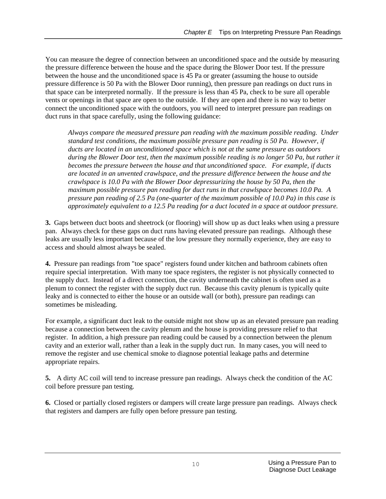You can measure the degree of connection between an unconditioned space and the outside by measuring the pressure difference between the house and the space during the Blower Door test. If the pressure between the house and the unconditioned space is 45 Pa or greater (assuming the house to outside pressure difference is 50 Pa with the Blower Door running), then pressure pan readings on duct runs in that space can be interpreted normally. If the pressure is less than 45 Pa, check to be sure all operable vents or openings in that space are open to the outside. If they are open and there is no way to better connect the unconditioned space with the outdoors, you will need to interpret pressure pan readings on duct runs in that space carefully, using the following guidance:

*Always compare the measured pressure pan reading with the maximum possible reading. Under standard test conditions, the maximum possible pressure pan reading is 50 Pa. However, if ducts are located in an unconditioned space which is not at the same pressure as outdoors during the Blower Door test, then the maximum possible reading is no longer 50 Pa, but rather it becomes the pressure between the house and that unconditioned space. For example, if ducts are located in an unvented crawlspace, and the pressure difference between the house and the crawlspace is 10.0 Pa with the Blower Door depressurizing the house by 50 Pa, then the maximum possible pressure pan reading for duct runs in that crawlspace becomes 10.0 Pa. A pressure pan reading of 2.5 Pa (one-quarter of the maximum possible of 10.0 Pa) in this case is approximately equivalent to a 12.5 Pa reading for a duct located in a space at outdoor pressure.* 

**3.** Gaps between duct boots and sheetrock (or flooring) will show up as duct leaks when using a pressure pan. Always check for these gaps on duct runs having elevated pressure pan readings. Although these leaks are usually less important because of the low pressure they normally experience, they are easy to access and should almost always be sealed.

**4.** Pressure pan readings from "toe space" registers found under kitchen and bathroom cabinets often require special interpretation. With many toe space registers, the register is not physically connected to the supply duct. Instead of a direct connection, the cavity underneath the cabinet is often used as a plenum to connect the register with the supply duct run. Because this cavity plenum is typically quite leaky and is connected to either the house or an outside wall (or both), pressure pan readings can sometimes be misleading.

For example, a significant duct leak to the outside might not show up as an elevated pressure pan reading because a connection between the cavity plenum and the house is providing pressure relief to that register. In addition, a high pressure pan reading could be caused by a connection between the plenum cavity and an exterior wall, rather than a leak in the supply duct run. In many cases, you will need to remove the register and use chemical smoke to diagnose potential leakage paths and determine appropriate repairs.

**5.** A dirty AC coil will tend to increase pressure pan readings. Always check the condition of the AC coil before pressure pan testing.

**6.** Closed or partially closed registers or dampers will create large pressure pan readings. Always check that registers and dampers are fully open before pressure pan testing.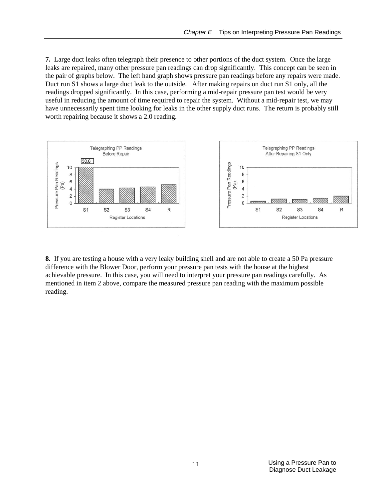**7.** Large duct leaks often telegraph their presence to other portions of the duct system. Once the large leaks are repaired, many other pressure pan readings can drop significantly. This concept can be seen in the pair of graphs below. The left hand graph shows pressure pan readings before any repairs were made. Duct run S1 shows a large duct leak to the outside. After making repairs on duct run S1 only, all the readings dropped significantly. In this case, performing a mid-repair pressure pan test would be very useful in reducing the amount of time required to repair the system. Without a mid-repair test, we may have unnecessarily spent time looking for leaks in the other supply duct runs. The return is probably still worth repairing because it shows a 2.0 reading.



**8.** If you are testing a house with a very leaky building shell and are not able to create a 50 Pa pressure difference with the Blower Door, perform your pressure pan tests with the house at the highest achievable pressure. In this case, you will need to interpret your pressure pan readings carefully. As mentioned in item 2 above, compare the measured pressure pan reading with the maximum possible reading.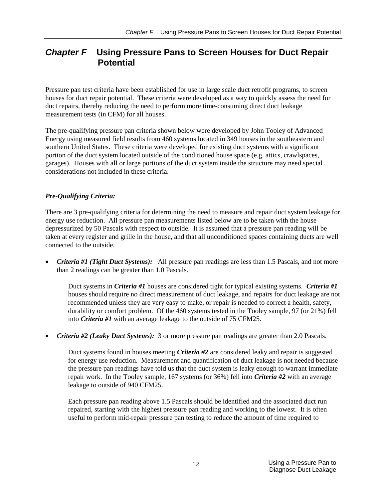## *Chapter F* **Using Pressure Pans to Screen Houses for Duct Repair Potential**

Pressure pan test criteria have been established for use in large scale duct retrofit programs, to screen houses for duct repair potential. These criteria were developed as a way to quickly assess the need for duct repairs, thereby reducing the need to perform more time-consuming direct duct leakage measurement tests (in CFM) for all houses.

The pre-qualifying pressure pan criteria shown below were developed by John Tooley of Advanced Energy using measured field results from 460 systems located in 349 houses in the southeastern and southern United States. These criteria were developed for existing duct systems with a significant portion of the duct system located outside of the conditioned house space (e.g. attics, crawlspaces, garages). Houses with all or large portions of the duct system inside the structure may need special considerations not included in these criteria.

#### *Pre-Qualifying Criteria:*

There are 3 pre-qualifying criteria for determining the need to measure and repair duct system leakage for energy use reduction. All pressure pan measurements listed below are to be taken with the house depressurized by 50 Pascals with respect to outside. It is assumed that a pressure pan reading will be taken at every register and grille in the house, and that all unconditioned spaces containing ducts are well connected to the outside.

*Criteria #1 (Tight Duct Systems):* All pressure pan readings are less than 1.5 Pascals, and not more than 2 readings can be greater than 1.0 Pascals.

Duct systems in *Criteria #1* houses are considered tight for typical existing systems. *Criteria #1* houses should require no direct measurement of duct leakage, and repairs for duct leakage are not recommended unless they are very easy to make, or repair is needed to correct a health, safety, durability or comfort problem. Of the 460 systems tested in the Tooley sample, 97 (or 21%) fell into *Criteria #1* with an average leakage to the outside of 75 CFM25.

*Criteria #2 (Leaky Duct Systems):* 3 or more pressure pan readings are greater than 2.0 Pascals.

Duct systems found in houses meeting *Criteria #2* are considered leaky and repair is suggested for energy use reduction. Measurement and quantification of duct leakage is not needed because the pressure pan readings have told us that the duct system is leaky enough to warrant immediate repair work. In the Tooley sample, 167 systems (or 36%) fell into *Criteria #2* with an average leakage to outside of 940 CFM25.

Each pressure pan reading above 1.5 Pascals should be identified and the associated duct run repaired, starting with the highest pressure pan reading and working to the lowest. It is often useful to perform mid-repair pressure pan testing to reduce the amount of time required to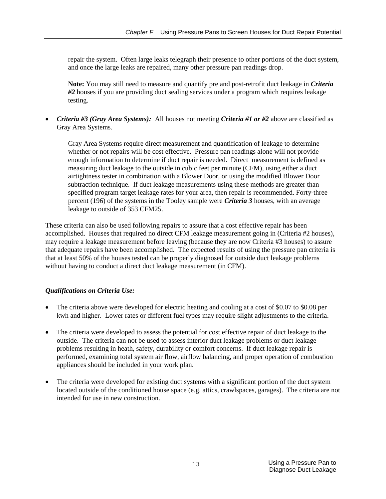repair the system. Often large leaks telegraph their presence to other portions of the duct system, and once the large leaks are repaired, many other pressure pan readings drop.

**Note:** You may still need to measure and quantify pre and post-retrofit duct leakage in *Criteria #2* houses if you are providing duct sealing services under a program which requires leakage testing.

• *Criteria #3 (Gray Area Systems):* All houses not meeting *Criteria #1 or #2* above are classified as Gray Area Systems.

Gray Area Systems require direct measurement and quantification of leakage to determine whether or not repairs will be cost effective. Pressure pan readings alone will not provide enough information to determine if duct repair is needed. Direct measurement is defined as measuring duct leakage to the outside in cubic feet per minute (CFM), using either a duct airtightness tester in combination with a Blower Door, or using the modified Blower Door subtraction technique. If duct leakage measurements using these methods are greater than specified program target leakage rates for your area, then repair is recommended. Forty-three percent (196) of the systems in the Tooley sample were *Criteria 3* houses, with an average leakage to outside of 353 CFM25.

These criteria can also be used following repairs to assure that a cost effective repair has been accomplished. Houses that required no direct CFM leakage measurement going in (Criteria #2 houses), may require a leakage measurement before leaving (because they are now Criteria #3 houses) to assure that adequate repairs have been accomplished. The expected results of using the pressure pan criteria is that at least 50% of the houses tested can be properly diagnosed for outside duct leakage problems without having to conduct a direct duct leakage measurement (in CFM).

#### *Qualifications on Criteria Use:*

- The criteria above were developed for electric heating and cooling at a cost of \$0.07 to \$0.08 per kwh and higher. Lower rates or different fuel types may require slight adjustments to the criteria.
- The criteria were developed to assess the potential for cost effective repair of duct leakage to the outside. The criteria can not be used to assess interior duct leakage problems or duct leakage problems resulting in heath, safety, durability or comfort concerns. If duct leakage repair is performed, examining total system air flow, airflow balancing, and proper operation of combustion appliances should be included in your work plan.
- The criteria were developed for existing duct systems with a significant portion of the duct system located outside of the conditioned house space (e.g. attics, crawlspaces, garages). The criteria are not intended for use in new construction.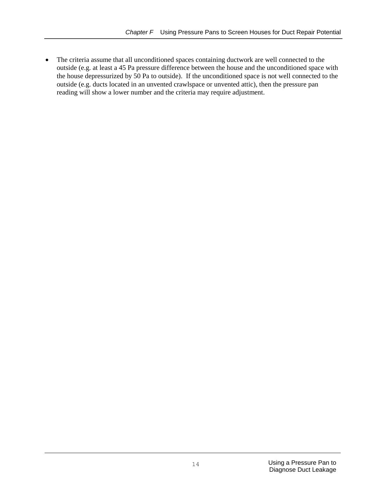The criteria assume that all unconditioned spaces containing ductwork are well connected to the outside (e.g. at least a 45 Pa pressure difference between the house and the unconditioned space with the house depressurized by 50 Pa to outside). If the unconditioned space is not well connected to the outside (e.g. ducts located in an unvented crawlspace or unvented attic), then the pressure pan reading will show a lower number and the criteria may require adjustment.